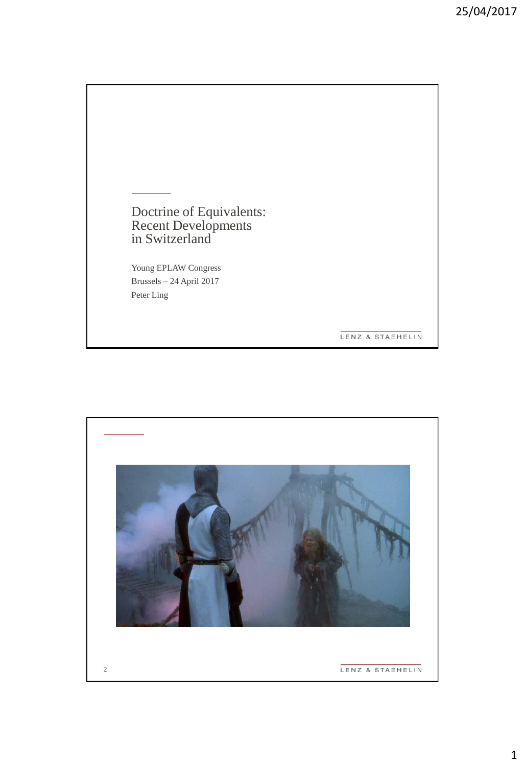Doctrine of Equivalents: Recent Developments in Switzerland

Young EPLAW Congress Brussels – 24 April 2017 Peter Ling

LENZ & STAEHELIN

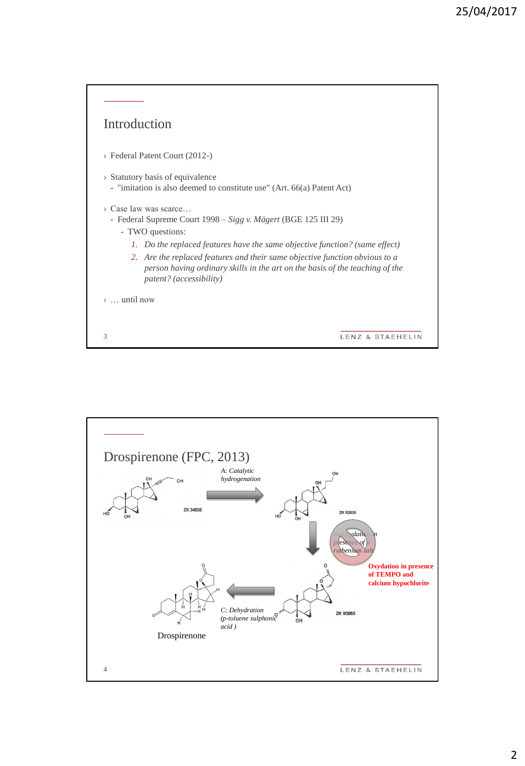

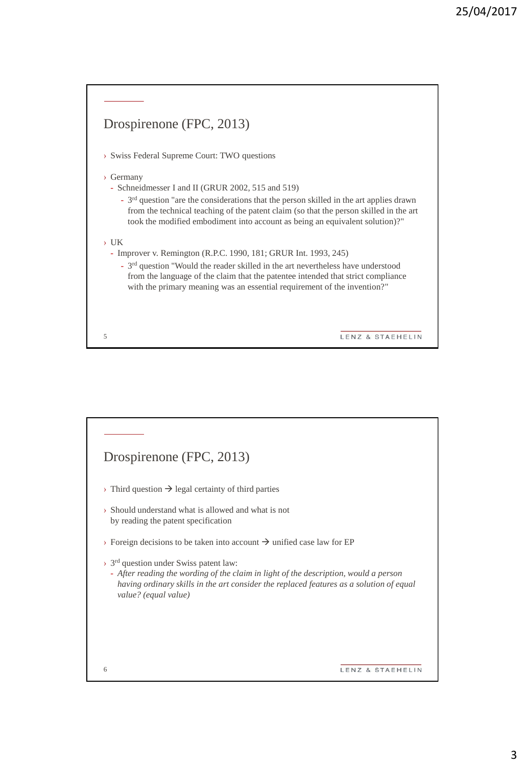

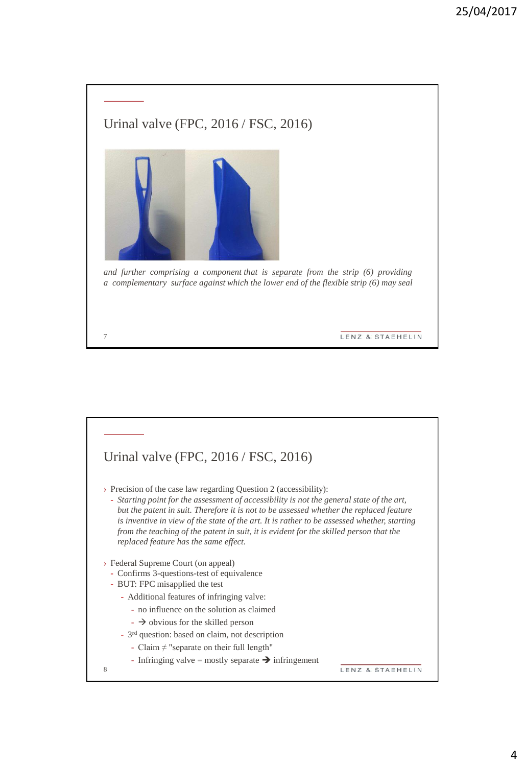

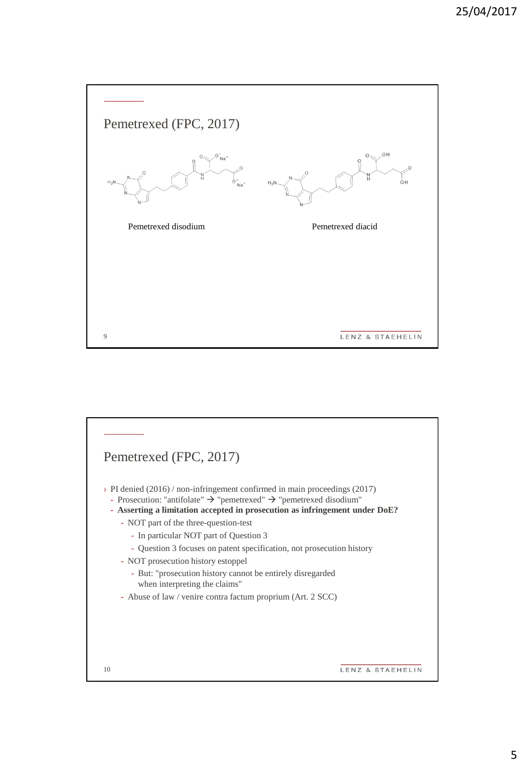